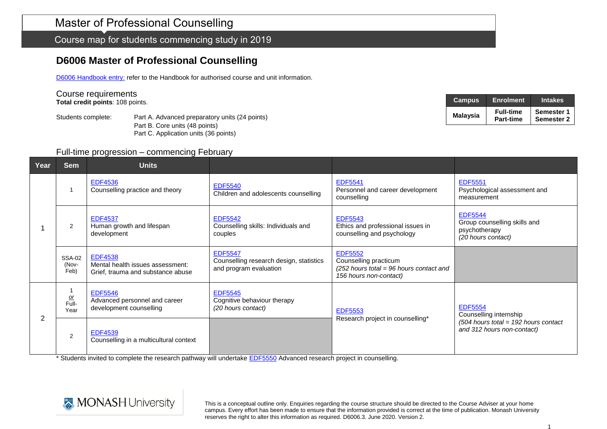Course map for students commencing study in 2019

## **D6006 Master of Professional Counselling**

D6006 [Handbook entry:](http://www.monash.edu.au/pubs/2019handbooks/courses/D6006.html) refer to the Handbook for authorised course and unit information.

#### Course requirements

**Total credit points**: 108 points.

Students complete: Part A. Advanced preparatory units (24 points) Part B. Core units (48 points) Part C. Application units (36 points)

| <b>Campus</b>   | <b>Enrolment</b>              | <b>Intakes</b>                  |
|-----------------|-------------------------------|---------------------------------|
| <b>Malaysia</b> | <b>Full-time</b><br>Part-time | Semester 1<br><b>Semester 2</b> |

#### Full-time progression – commencing February

| Year           | <b>Sem</b>                     | <b>Units</b>                                                                            |                                                                                     |                                                                                                                |                                                                                                                  |
|----------------|--------------------------------|-----------------------------------------------------------------------------------------|-------------------------------------------------------------------------------------|----------------------------------------------------------------------------------------------------------------|------------------------------------------------------------------------------------------------------------------|
|                |                                | <b>EDF4536</b><br>Counselling practice and theory                                       | <b>EDF5540</b><br>Children and adolescents counselling                              | <b>EDF5541</b><br>Personnel and career development<br>counselling                                              | <b>EDF5551</b><br>Psychological assessment and<br>measurement                                                    |
|                | $\overline{2}$                 | <b>EDF4537</b><br>Human growth and lifespan<br>development                              | <b>EDF5542</b><br>Counselling skills: Individuals and<br>couples                    | <b>EDF5543</b><br>Ethics and professional issues in<br>counselling and psychology                              | <b>EDF5544</b><br>Group counselling skills and<br>psychotherapy<br>(20 hours contact)                            |
|                | <b>SSA-02</b><br>(Nov-<br>Feb) | <b>EDF4538</b><br>Mental health issues assessment:<br>Grief, trauma and substance abuse | <b>EDF5547</b><br>Counselling research design, statistics<br>and program evaluation | <b>EDF5552</b><br>Counselling practicum<br>$(252$ hours total = 96 hours contact and<br>156 hours non-contact) |                                                                                                                  |
| $\overline{2}$ | $rac{or}{\text{Full}}$<br>Year | <b>EDF5546</b><br>Advanced personnel and career<br>development counselling              | <b>EDF5545</b><br>Cognitive behaviour therapy<br>(20 hours contact)                 | <b>EDF5553</b><br>Research project in counselling*                                                             | <b>EDF5554</b><br>Counselling internship<br>$(504$ hours total = 192 hours contact<br>and 312 hours non-contact) |
|                | $\overline{2}$                 | <b>EDF4539</b><br>Counselling in a multicultural context                                |                                                                                     |                                                                                                                |                                                                                                                  |

\* Students invited to complete the research pathway will undertake [EDF5550](https://www.monash.edu.au/pubs/handbooks/units/EDF5550.html) Advanced research project in counselling.

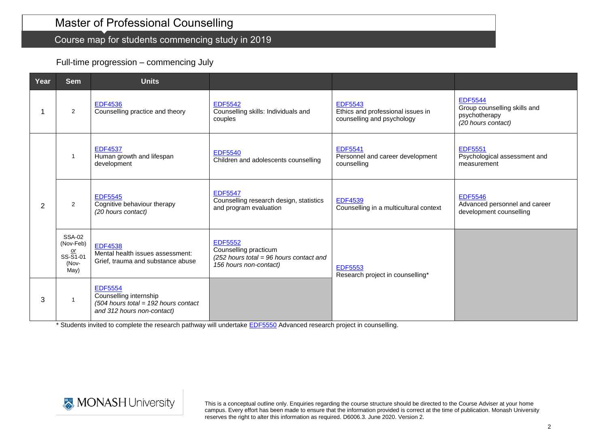## Master of Professional Counselling

## Course map for students commencing study in 2019

### Full-time progression – commencing July

| Year | <b>Sem</b>                                                | <b>Units</b>                                                                                                     |                                                                                                                |                                                                                   |                                                                                       |
|------|-----------------------------------------------------------|------------------------------------------------------------------------------------------------------------------|----------------------------------------------------------------------------------------------------------------|-----------------------------------------------------------------------------------|---------------------------------------------------------------------------------------|
|      | 2                                                         | <b>EDF4536</b><br>Counselling practice and theory                                                                | <b>EDF5542</b><br>Counselling skills: Individuals and<br>couples                                               | <b>EDF5543</b><br>Ethics and professional issues in<br>counselling and psychology | <b>EDF5544</b><br>Group counselling skills and<br>psychotherapy<br>(20 hours contact) |
|      | -1                                                        | <b>EDF4537</b><br>Human growth and lifespan<br>development                                                       | <b>EDF5540</b><br>Children and adolescents counselling                                                         | <b>EDF5541</b><br>Personnel and career development<br>counselling                 | <b>EDF5551</b><br>Psychological assessment and<br>measurement                         |
| 2    | 2                                                         | <b>EDF5545</b><br>Cognitive behaviour therapy<br>(20 hours contact)                                              | <b>EDF5547</b><br>Counselling research design, statistics<br>and program evaluation                            | <b>EDF4539</b><br>Counselling in a multicultural context                          | <b>EDF5546</b><br>Advanced personnel and career<br>development counselling            |
|      | <b>SSA-02</b><br>(Nov-Feb)<br>$SS-S1-01$<br>(Nov-<br>May) | <b>EDF4538</b><br>Mental health issues assessment:<br>Grief, trauma and substance abuse                          | <b>EDF5552</b><br>Counselling practicum<br>$(252$ hours total = 96 hours contact and<br>156 hours non-contact) | <b>EDF5553</b><br>Research project in counselling*                                |                                                                                       |
| 3    |                                                           | <b>EDF5554</b><br>Counselling internship<br>$(504$ hours total = 192 hours contact<br>and 312 hours non-contact) |                                                                                                                |                                                                                   |                                                                                       |

\* Students invited to complete the research pathway will undertake [EDF5550](https://www.monash.edu.au/pubs/handbooks/units/EDF5550.html) Advanced research project in counselling.

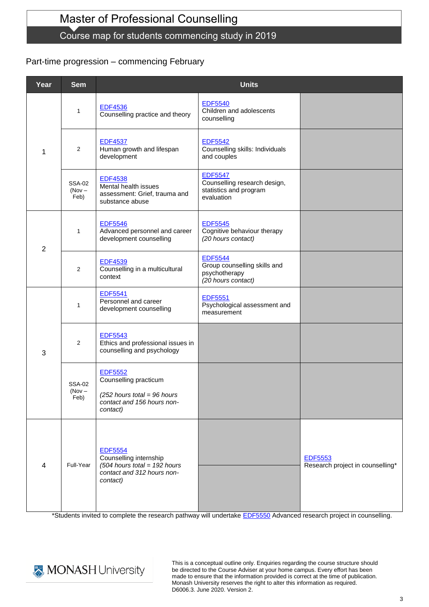# Master of Professional Counselling

### Course map for students commencing study in 2019

### Part-time progression – commencing February

| Year           | <b>Sem</b>                        | <b>Units</b>                                                                                                         |                                                                                        |                                                    |
|----------------|-----------------------------------|----------------------------------------------------------------------------------------------------------------------|----------------------------------------------------------------------------------------|----------------------------------------------------|
|                | $\mathbf{1}$                      | <b>EDF4536</b><br>Counselling practice and theory                                                                    | <b>EDF5540</b><br>Children and adolescents<br>counselling                              |                                                    |
| 1              | $\overline{2}$                    | <b>EDF4537</b><br>Human growth and lifespan<br>development                                                           | <b>EDF5542</b><br>Counselling skills: Individuals<br>and couples                       |                                                    |
|                | <b>SSA-02</b><br>$(Nov -$<br>Feb) | <b>EDF4538</b><br>Mental health issues<br>assessment: Grief, trauma and<br>substance abuse                           | <b>EDF5547</b><br>Counselling research design,<br>statistics and program<br>evaluation |                                                    |
| $\overline{2}$ | $\mathbf{1}$                      | <b>EDF5546</b><br>Advanced personnel and career<br>development counselling                                           | <b>EDF5545</b><br>Cognitive behaviour therapy<br>(20 hours contact)                    |                                                    |
|                | $\overline{2}$                    | <b>EDF4539</b><br>Counselling in a multicultural<br>context                                                          | <b>EDF5544</b><br>Group counselling skills and<br>psychotherapy<br>(20 hours contact)  |                                                    |
|                | $\mathbf{1}$                      | <b>EDF5541</b><br>Personnel and career<br>development counselling                                                    | <b>EDF5551</b><br>Psychological assessment and<br>measurement                          |                                                    |
| 3              | $\overline{2}$                    | <b>EDF5543</b><br>Ethics and professional issues in<br>counselling and psychology                                    |                                                                                        |                                                    |
|                | <b>SSA-02</b><br>(Nov –<br>Feb)   | <b>EDF5552</b><br>Counselling practicum                                                                              |                                                                                        |                                                    |
|                |                                   | $(252$ hours total = 96 hours<br>contact and 156 hours non-<br>contact)                                              |                                                                                        |                                                    |
| $\overline{4}$ | Full-Year                         | <b>EDF5554</b><br>Counselling internship<br>$(504$ hours total = 192 hours<br>contact and 312 hours non-<br>contact) |                                                                                        | <b>EDF5553</b><br>Research project in counselling* |

\*Students invited to complete the research pathway will undertake [EDF5550](https://www.monash.edu.au/pubs/handbooks/units/EDF5550.html) Advanced research project in counselling.